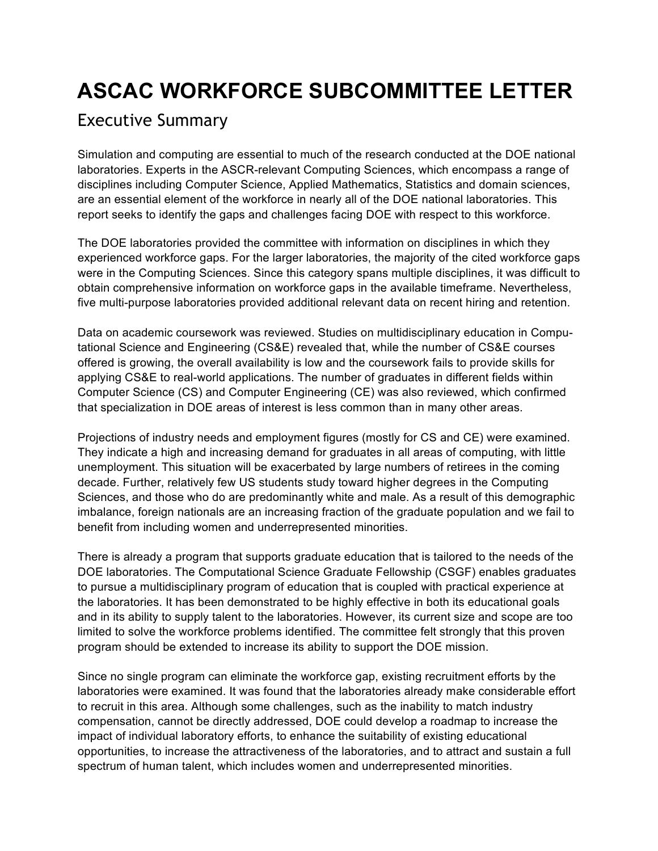# **ASCAC WORKFORCE SUBCOMMITTEE LETTER**

### Executive Summary

 Simulation and computing are essential to much of the research conducted at the DOE national laboratories. Experts in the ASCR-relevant Computing Sciences, which encompass a range of disciplines including Computer Science, Applied Mathematics, Statistics and domain sciences, are an essential element of the workforce in nearly all of the DOE national laboratories. This report seeks to identify the gaps and challenges facing DOE with respect to this workforce.

report seeks to identify the gaps and challenges facing DOE with respect to this workforce.<br>The DOE laboratories provided the committee with information on disciplines in which they experienced workforce gaps. For the larger laboratories, the majority of the cited workforce gaps were in the Computing Sciences. Since this category spans multiple disciplines, it was difficult to obtain comprehensive information on workforce gaps in the available timeframe. Nevertheless, five multi-purpose laboratories provided additional relevant data on recent hiring and retention.

 Data on academic coursework was reviewed. Studies on multidisciplinary education in Compu- tational Science and Engineering (CS&E) revealed that, while the number of CS&E courses offered is growing, the overall availability is low and the coursework fails to provide skills for applying CS&E to real-world applications. The number of graduates in different fields within Computer Science (CS) and Computer Engineering (CE) was also reviewed, which confirmed that specialization in DOE areas of interest is less common than in many other areas.

 Projections of industry needs and employment figures (mostly for CS and CE) were examined. They indicate a high and increasing demand for graduates in all areas of computing, with little unemployment. This situation will be exacerbated by large numbers of retirees in the coming decade. Further, relatively few US students study toward higher degrees in the Computing Sciences, and those who do are predominantly white and male. As a result of this demographic imbalance, foreign nationals are an increasing fraction of the graduate population and we fail to benefit from including women and underrepresented minorities.

 There is already a program that supports graduate education that is tailored to the needs of the DOE laboratories. The Computational Science Graduate Fellowship (CSGF) enables graduates the laboratories. It has been demonstrated to be highly effective in both its educational goals and in its ability to supply talent to the laboratories. However, its current size and scope are too limited to solve the workforce problems identified. The committee felt strongly that this proven program should be extended to increase its ability to support the DOE mission. to pursue a multidisciplinary program of education that is coupled with practical experience at

 Since no single program can eliminate the workforce gap, existing recruitment efforts by the compensation, cannot be directly addressed, DOE could develop a roadmap to increase the impact of individual laboratory efforts, to enhance the suitability of existing educational opportunities, to increase the attractiveness of the laboratories, and to attract and sustain a full spectrum of human talent, which includes women and underrepresented minorities. laboratories were examined. It was found that the laboratories already make considerable effort to recruit in this area. Although some challenges, such as the inability to match industry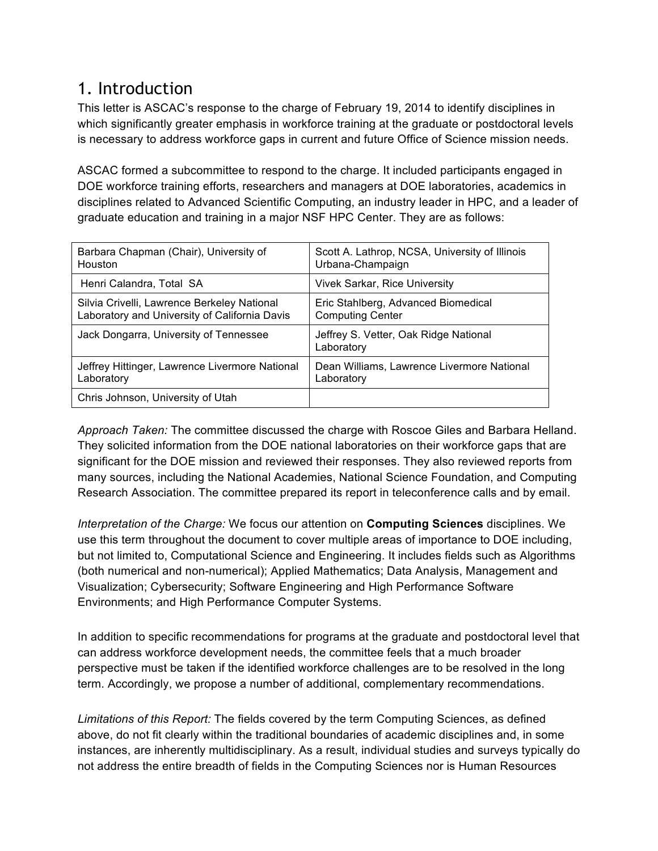### 1. Introduction

 This letter is ASCAC's response to the charge of February 19, 2014 to identify disciplines in which significantly greater emphasis in workforce training at the graduate or postdoctoral levels is necessary to address workforce gaps in current and future Office of Science mission needs.

 ASCAC formed a subcommittee to respond to the charge. It included participants engaged in DOE workforce training efforts, researchers and managers at DOE laboratories, academics in disciplines related to Advanced Scientific Computing, an industry leader in HPC, and a leader of graduate education and training in a major NSF HPC Center. They are as follows:

| Barbara Chapman (Chair), University of                                                       | Scott A. Lathrop, NCSA, University of Illinois                 |
|----------------------------------------------------------------------------------------------|----------------------------------------------------------------|
| <b>Houston</b>                                                                               | Urbana-Champaign                                               |
| Henri Calandra, Total SA                                                                     | <b>Vivek Sarkar, Rice University</b>                           |
| Silvia Crivelli, Lawrence Berkeley National<br>Laboratory and University of California Davis | Eric Stahlberg, Advanced Biomedical<br><b>Computing Center</b> |
| Jack Dongarra, University of Tennessee                                                       | Jeffrey S. Vetter, Oak Ridge National<br>Laboratory            |
| Jeffrey Hittinger, Lawrence Livermore National<br>Laboratory                                 | Dean Williams, Lawrence Livermore National<br>Laboratory       |
| Chris Johnson, University of Utah                                                            |                                                                |

 *Approach Taken:* The committee discussed the charge with Roscoe Giles and Barbara Helland. They solicited information from the DOE national laboratories on their workforce gaps that are significant for the DOE mission and reviewed their responses. They also reviewed reports from many sources, including the National Academies, National Science Foundation, and Computing Research Association. The committee prepared its report in teleconference calls and by email.

 *Interpretation of the Charge:* We focus our attention on **Computing Sciences** disciplines. We use this term throughout the document to cover multiple areas of importance to DOE including, but not limited to, Computational Science and Engineering. It includes fields such as Algorithms (both numerical and non-numerical); Applied Mathematics; Data Analysis, Management and Visualization; Cybersecurity; Software Engineering and High Performance Software Environments; and High Performance Computer Systems.

 In addition to specific recommendations for programs at the graduate and postdoctoral level that can address workforce development needs, the committee feels that a much broader perspective must be taken if the identified workforce challenges are to be resolved in the long term. Accordingly, we propose a number of additional, complementary recommendations.

 *Limitations of this Report:* The fields covered by the term Computing Sciences, as defined above, do not fit clearly within the traditional boundaries of academic disciplines and, in some instances, are inherently multidisciplinary. As a result, individual studies and surveys typically do not address the entire breadth of fields in the Computing Sciences nor is Human Resources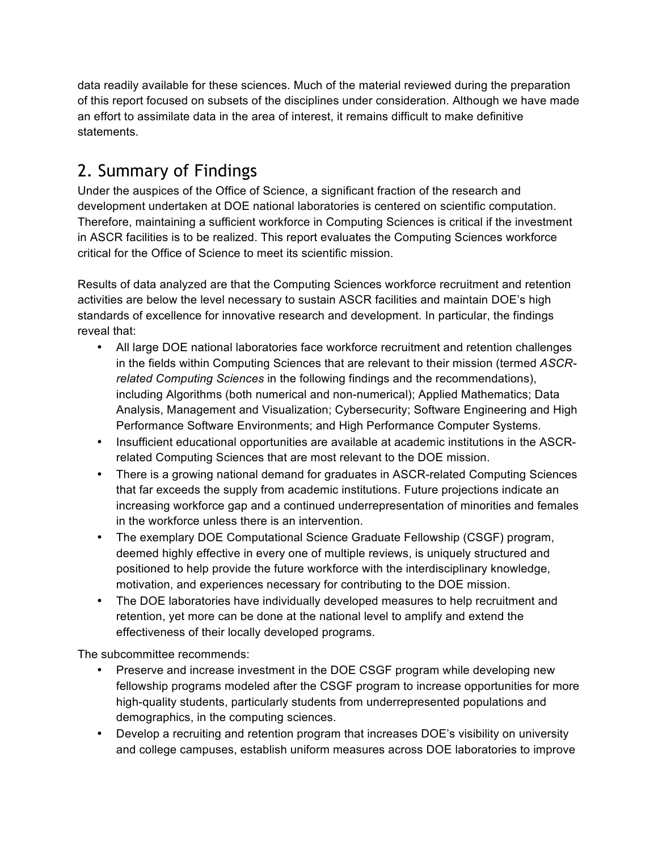data readily available for these sciences. Much of the material reviewed during the preparation of this report focused on subsets of the disciplines under consideration. Although we have made an effort to assimilate data in the area of interest, it remains difficult to make definitive statements.

# 2. Summary of Findings

 Under the auspices of the Office of Science, a significant fraction of the research and development undertaken at DOE national laboratories is centered on scientific computation. Therefore, maintaining a sufficient workforce in Computing Sciences is critical if the investment in ASCR facilities is to be realized. This report evaluates the Computing Sciences workforce critical for the Office of Science to meet its scientific mission.

 Results of data analyzed are that the Computing Sciences workforce recruitment and retention activities are below the level necessary to sustain ASCR facilities and maintain DOE's high standards of excellence for innovative research and development. In particular, the findings reveal that:

- • All large DOE national laboratories face workforce recruitment and retention challenges in the fields within Computing Sciences that are relevant to their mission (termed *ASCR- related Computing Sciences* in the following findings and the recommendations), including Algorithms (both numerical and non-numerical); Applied Mathematics; Data Analysis, Management and Visualization; Cybersecurity; Software Engineering and High Performance Software Environments; and High Performance Computer Systems.
- related Computing Sciences that are most relevant to the DOE mission. • Insufficient educational opportunities are available at academic institutions in the ASCR-
- • There is a growing national demand for graduates in ASCR-related Computing Sciences increasing workforce gap and a continued underrepresentation of minorities and females in the workforce unless there is an intervention. that far exceeds the supply from academic institutions. Future projections indicate an
- • The exemplary DOE Computational Science Graduate Fellowship (CSGF) program, deemed highly effective in every one of multiple reviews, is uniquely structured and positioned to help provide the future workforce with the interdisciplinary knowledge, motivation, and experiences necessary for contributing to the DOE mission.
- • The DOE laboratories have individually developed measures to help recruitment and effectiveness of their locally developed programs. retention, yet more can be done at the national level to amplify and extend the

The subcommittee recommends:

- • Preserve and increase investment in the DOE CSGF program while developing new high-quality students, particularly students from underrepresented populations and demographics, in the computing sciences. fellowship programs modeled after the CSGF program to increase opportunities for more
- • Develop a recruiting and retention program that increases DOE's visibility on university and college campuses, establish uniform measures across DOE laboratories to improve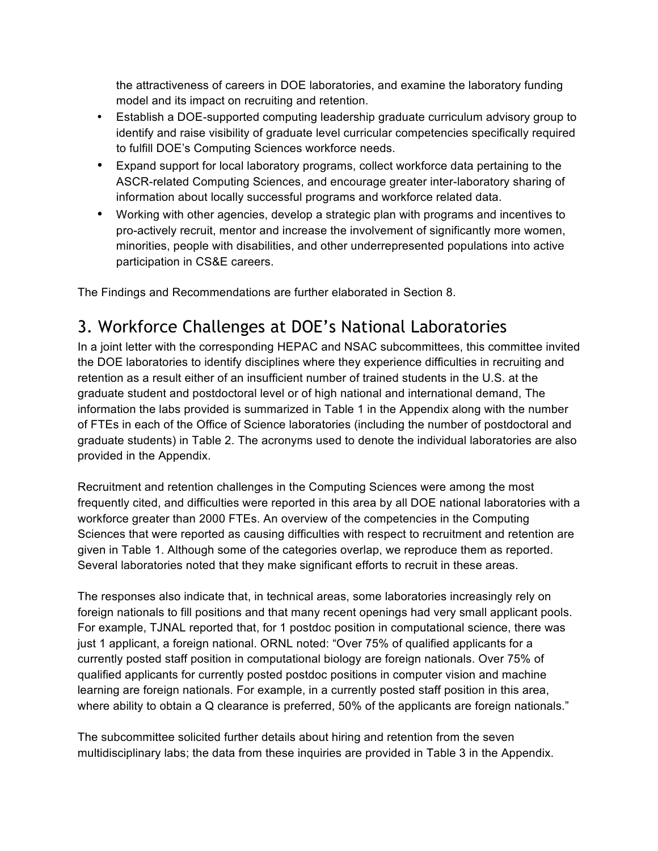model and its impact on recruiting and retention. the attractiveness of careers in DOE laboratories, and examine the laboratory funding

- • Establish a DOE-supported computing leadership graduate curriculum advisory group to identify and raise visibility of graduate level curricular competencies specifically required to fulfill DOE's Computing Sciences workforce needs.
- • Expand support for local laboratory programs, collect workforce data pertaining to the ASCR-related Computing Sciences, and encourage greater inter-laboratory sharing of information about locally successful programs and workforce related data.
- • Working with other agencies, develop a strategic plan with programs and incentives to pro-actively recruit, mentor and increase the involvement of significantly more women, minorities, people with disabilities, and other underrepresented populations into active participation in CS&E careers.

The Findings and Recommendations are further elaborated in Section 8.

# 3. Workforce Challenges at DOE's National Laboratories

 In a joint letter with the corresponding HEPAC and NSAC subcommittees, this committee invited the DOE laboratories to identify disciplines where they experience difficulties in recruiting and retention as a result either of an insufficient number of trained students in the U.S. at the graduate student and postdoctoral level or of high national and international demand, The information the labs provided is summarized in Table 1 in the Appendix along with the number of FTEs in each of the Office of Science laboratories (including the number of postdoctoral and graduate students) in Table 2. The acronyms used to denote the individual laboratories are also provided in the Appendix.

 Recruitment and retention challenges in the Computing Sciences were among the most frequently cited, and difficulties were reported in this area by all DOE national laboratories with a workforce greater than 2000 FTEs. An overview of the competencies in the Computing given in Table 1. Although some of the categories overlap, we reproduce them as reported. Several laboratories noted that they make significant efforts to recruit in these areas. Sciences that were reported as causing difficulties with respect to recruitment and retention are

 The responses also indicate that, in technical areas, some laboratories increasingly rely on foreign nationals to fill positions and that many recent openings had very small applicant pools. For example, TJNAL reported that, for 1 postdoc position in computational science, there was just 1 applicant, a foreign national. ORNL noted: "Over 75% of qualified applicants for a currently posted staff position in computational biology are foreign nationals. Over 75% of qualified applicants for currently posted postdoc positions in computer vision and machine learning are foreign nationals. For example, in a currently posted staff position in this area, where ability to obtain a Q clearance is preferred, 50% of the applicants are foreign nationals."

 The subcommittee solicited further details about hiring and retention from the seven multidisciplinary labs; the data from these inquiries are provided in Table 3 in the Appendix.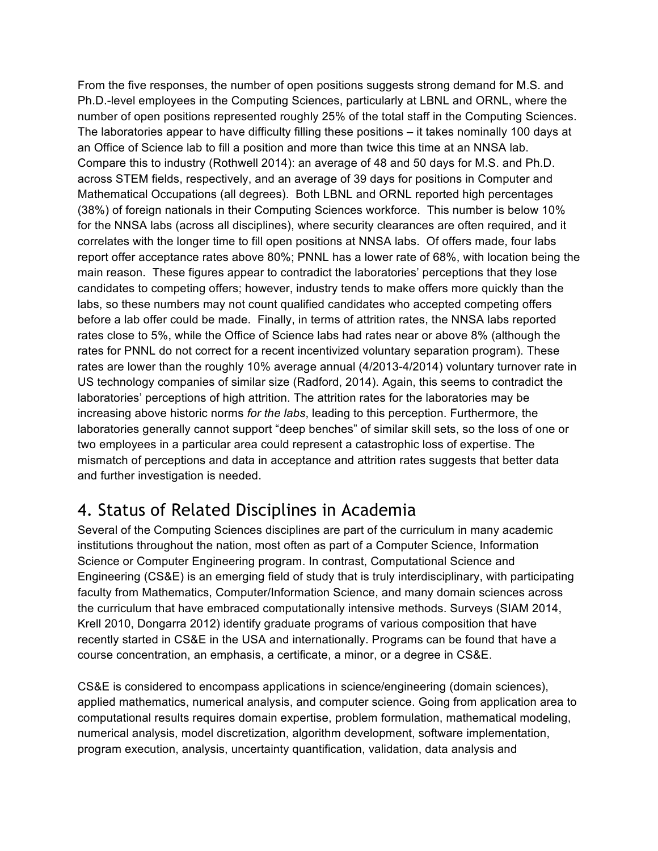From the five responses, the number of open positions suggests strong demand for M.S. and Ph.D.-level employees in the Computing Sciences, particularly at LBNL and ORNL, where the number of open positions represented roughly 25% of the total staff in the Computing Sciences. The laboratories appear to have difficulty filling these positions – it takes nominally 100 days at an Office of Science lab to fill a position and more than twice this time at an NNSA lab. Compare this to industry (Rothwell 2014): an average of 48 and 50 days for M.S. and Ph.D. across STEM fields, respectively, and an average of 39 days for positions in Computer and Mathematical Occupations (all degrees). Both LBNL and ORNL reported high percentages (38%) of foreign nationals in their Computing Sciences workforce. This number is below 10% for the NNSA labs (across all disciplines), where security clearances are often required, and it correlates with the longer time to fill open positions at NNSA labs. Of offers made, four labs report offer acceptance rates above 80%; PNNL has a lower rate of 68%, with location being the main reason. These figures appear to contradict the laboratories' perceptions that they lose candidates to competing offers; however, industry tends to make offers more quickly than the labs, so these numbers may not count qualified candidates who accepted competing offers before a lab offer could be made. Finally, in terms of attrition rates, the NNSA labs reported rates close to 5%, while the Office of Science labs had rates near or above 8% (although the rates for PNNL do not correct for a recent incentivized voluntary separation program). These rates are lower than the roughly 10% average annual (4/2013-4/2014) voluntary turnover rate in US technology companies of similar size (Radford, 2014). Again, this seems to contradict the laboratories' perceptions of high attrition. The attrition rates for the laboratories may be increasing above historic norms *for the labs*, leading to this perception. Furthermore, the laboratories generally cannot support "deep benches" of similar skill sets, so the loss of one or mismatch of perceptions and data in acceptance and attrition rates suggests that better data and further investigation is needed. two employees in a particular area could represent a catastrophic loss of expertise. The

# 4. Status of Related Disciplines in Academia

 Several of the Computing Sciences disciplines are part of the curriculum in many academic institutions throughout the nation, most often as part of a Computer Science, Information Science or Computer Engineering program. In contrast, Computational Science and Engineering (CS&E) is an emerging field of study that is truly interdisciplinary, with participating faculty from Mathematics, Computer/Information Science, and many domain sciences across the curriculum that have embraced computationally intensive methods. Surveys (SIAM 2014, Krell 2010, Dongarra 2012) identify graduate programs of various composition that have recently started in CS&E in the USA and internationally. Programs can be found that have a course concentration, an emphasis, a certificate, a minor, or a degree in CS&E.

 CS&E is considered to encompass applications in science/engineering (domain sciences), applied mathematics, numerical analysis, and computer science. Going from application area to computational results requires domain expertise, problem formulation, mathematical modeling, numerical analysis, model discretization, algorithm development, software implementation, program execution, analysis, uncertainty quantification, validation, data analysis and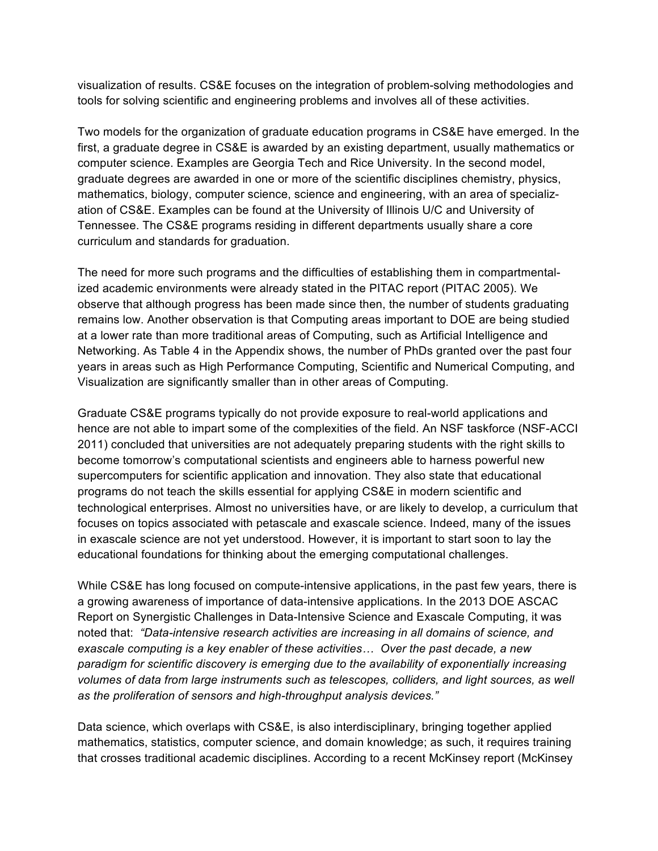visualization of results. CS&E focuses on the integration of problem-solving methodologies and tools for solving scientific and engineering problems and involves all of these activities.

 Two models for the organization of graduate education programs in CS&E have emerged. In the first, a graduate degree in CS&E is awarded by an existing department, usually mathematics or computer science. Examples are Georgia Tech and Rice University. In the second model, graduate degrees are awarded in one or more of the scientific disciplines chemistry, physics, mathematics, biology, computer science, science and engineering, with an area of specializ- ation of CS&E. Examples can be found at the University of Illinois U/C and University of Tennessee. The CS&E programs residing in different departments usually share a core curriculum and standards for graduation.

 The need for more such programs and the difficulties of establishing them in compartmental- ized academic environments were already stated in the PITAC report (PITAC 2005). We observe that although progress has been made since then, the number of students graduating remains low. Another observation is that Computing areas important to DOE are being studied at a lower rate than more traditional areas of Computing, such as Artificial Intelligence and Networking. As Table 4 in the Appendix shows, the number of PhDs granted over the past four years in areas such as High Performance Computing, Scientific and Numerical Computing, and Visualization are significantly smaller than in other areas of Computing.

 Graduate CS&E programs typically do not provide exposure to real-world applications and hence are not able to impart some of the complexities of the field. An NSF taskforce (NSF-ACCI 2011) concluded that universities are not adequately preparing students with the right skills to become tomorrow's computational scientists and engineers able to harness powerful new supercomputers for scientific application and innovation. They also state that educational technological enterprises. Almost no universities have, or are likely to develop, a curriculum that focuses on topics associated with petascale and exascale science. Indeed, many of the issues in exascale science are not yet understood. However, it is important to start soon to lay the educational foundations for thinking about the emerging computational challenges. programs do not teach the skills essential for applying CS&E in modern scientific and

 While CS&E has long focused on compute-intensive applications, in the past few years, there is a growing awareness of importance of data-intensive applications. In the 2013 DOE ASCAC Report on Synergistic Challenges in Data-Intensive Science and Exascale Computing, it was  noted that: *"Data-intensive research activities are increasing in all domains of science, and exascale computing is a key enabler of these activities… Over the past decade, a new paradigm for scientific discovery is emerging due to the availability of exponentially increasing volumes of data from large instruments such as telescopes, colliders, and light sources, as well as the proliferation of sensors and high-throughput analysis devices."* 

 Data science, which overlaps with CS&E, is also interdisciplinary, bringing together applied mathematics, statistics, computer science, and domain knowledge; as such, it requires training that crosses traditional academic disciplines. According to a recent McKinsey report (McKinsey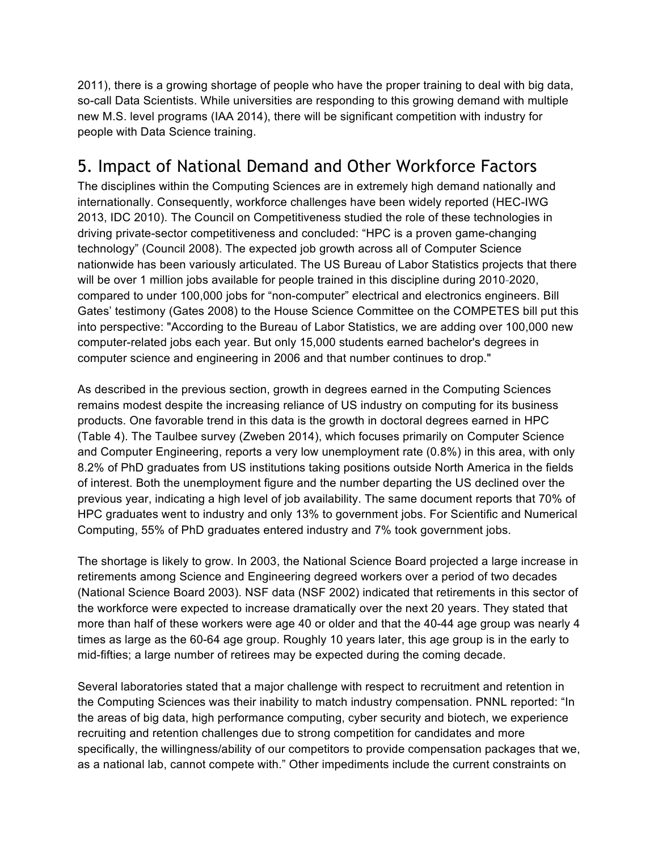2011), there is a growing shortage of people who have the proper training to deal with big data, so-call Data Scientists. While universities are responding to this growing demand with multiple new M.S. level programs (IAA 2014), there will be significant competition with industry for people with Data Science training.

# 5. Impact of National Demand and Other Workforce Factors

 The disciplines within the Computing Sciences are in extremely high demand nationally and internationally. Consequently, workforce challenges have been widely reported (HEC-IWG 2013, IDC 2010). The Council on Competitiveness studied the role of these technologies in driving private-sector competitiveness and concluded: "HPC is a proven game-changing technology" (Council 2008). The expected job growth across all of Computer Science nationwide has been variously articulated. The US Bureau of Labor Statistics projects that there will be over 1 million jobs available for people trained in this discipline during 2010-2020, compared to under 100,000 jobs for "non-computer" electrical and electronics engineers. Bill Gates' testimony (Gates 2008) to the House Science Committee on the COMPETES bill put this into perspective: "According to the Bureau of Labor Statistics, we are adding over 100,000 new computer-related jobs each year. But only 15,000 students earned bachelor's degrees in computer science and engineering in 2006 and that number continues to drop."

 As described in the previous section, growth in degrees earned in the Computing Sciences remains modest despite the increasing reliance of US industry on computing for its business products. One favorable trend in this data is the growth in doctoral degrees earned in HPC (Table 4). The Taulbee survey (Zweben 2014), which focuses primarily on Computer Science and Computer Engineering, reports a very low unemployment rate (0.8%) in this area, with only 8.2% of PhD graduates from US institutions taking positions outside North America in the fields of interest. Both the unemployment figure and the number departing the US declined over the previous year, indicating a high level of job availability. The same document reports that 70% of HPC graduates went to industry and only 13% to government jobs. For Scientific and Numerical Computing, 55% of PhD graduates entered industry and 7% took government jobs.

 The shortage is likely to grow. In 2003, the National Science Board projected a large increase in retirements among Science and Engineering degreed workers over a period of two decades (National Science Board 2003). NSF data (NSF 2002) indicated that retirements in this sector of the workforce were expected to increase dramatically over the next 20 years. They stated that more than half of these workers were age 40 or older and that the 40-44 age group was nearly 4 times as large as the 60-64 age group. Roughly 10 years later, this age group is in the early to mid-fifties; a large number of retirees may be expected during the coming decade.

 the Computing Sciences was their inability to match industry compensation. PNNL reported: "In recruiting and retention challenges due to strong competition for candidates and more specifically, the willingness/ability of our competitors to provide compensation packages that we, as a national lab, cannot compete with." Other impediments include the current constraints on Several laboratories stated that a major challenge with respect to recruitment and retention in the areas of big data, high performance computing, cyber security and biotech, we experience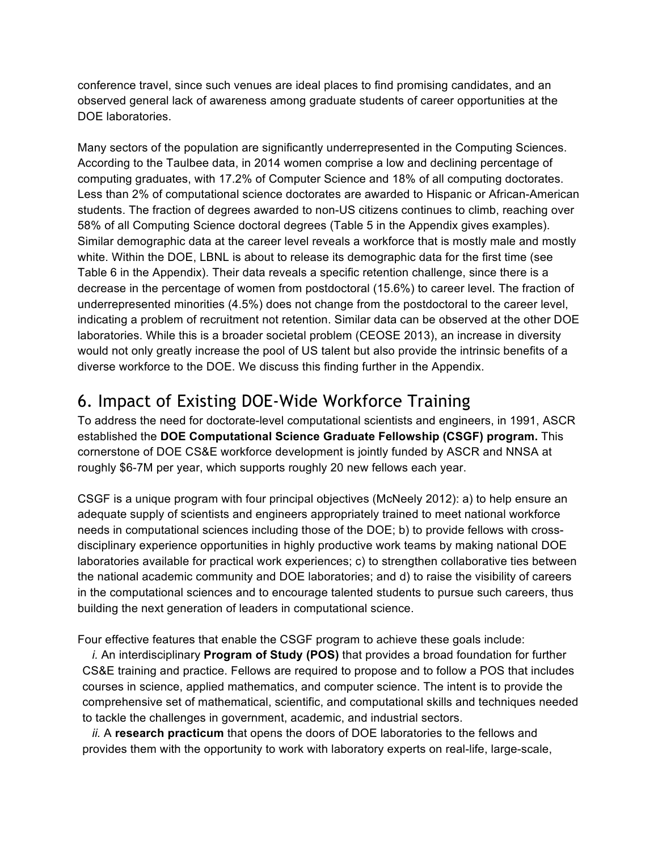conference travel, since such venues are ideal places to find promising candidates, and an observed general lack of awareness among graduate students of career opportunities at the DOE laboratories.

 Many sectors of the population are significantly underrepresented in the Computing Sciences. According to the Taulbee data, in 2014 women comprise a low and declining percentage of computing graduates, with 17.2% of Computer Science and 18% of all computing doctorates. Less than 2% of computational science doctorates are awarded to Hispanic or African-American students. The fraction of degrees awarded to non-US citizens continues to climb, reaching over 58% of all Computing Science doctoral degrees (Table 5 in the Appendix gives examples). Similar demographic data at the career level reveals a workforce that is mostly male and mostly white. Within the DOE, LBNL is about to release its demographic data for the first time (see Table 6 in the Appendix). Their data reveals a specific retention challenge, since there is a decrease in the percentage of women from postdoctoral (15.6%) to career level. The fraction of underrepresented minorities (4.5%) does not change from the postdoctoral to the career level, indicating a problem of recruitment not retention. Similar data can be observed at the other DOE laboratories. While this is a broader societal problem (CEOSE 2013), an increase in diversity would not only greatly increase the pool of US talent but also provide the intrinsic benefits of a diverse workforce to the DOE. We discuss this finding further in the Appendix.

# 6. Impact of Existing DOE-Wide Workforce Training

 To address the need for doctorate-level computational scientists and engineers, in 1991, ASCR  established the **DOE Computational Science Graduate Fellowship (CSGF) program.** This cornerstone of DOE CS&E workforce development is jointly funded by ASCR and NNSA at roughly \$6-7M per year, which supports roughly 20 new fellows each year.

 CSGF is a unique program with four principal objectives (McNeely 2012): a) to help ensure an adequate supply of scientists and engineers appropriately trained to meet national workforce needs in computational sciences including those of the DOE; b) to provide fellows with cross- disciplinary experience opportunities in highly productive work teams by making national DOE laboratories available for practical work experiences; c) to strengthen collaborative ties between in the computational sciences and to encourage talented students to pursue such careers, thus building the next generation of leaders in computational science. the national academic community and DOE laboratories; and d) to raise the visibility of careers

Four effective features that enable the CSGF program to achieve these goals include:

 *i.* An interdisciplinary **Program of Study (POS)** that provides a broad foundation for further CS&E training and practice. Fellows are required to propose and to follow a POS that includes courses in science, applied mathematics, and computer science. The intent is to provide the comprehensive set of mathematical, scientific, and computational skills and techniques needed to tackle the challenges in government, academic, and industrial sectors.

 provides them with the opportunity to work with laboratory experts on real-life, large-scale, *ii.* A **research practicum** that opens the doors of DOE laboratories to the fellows and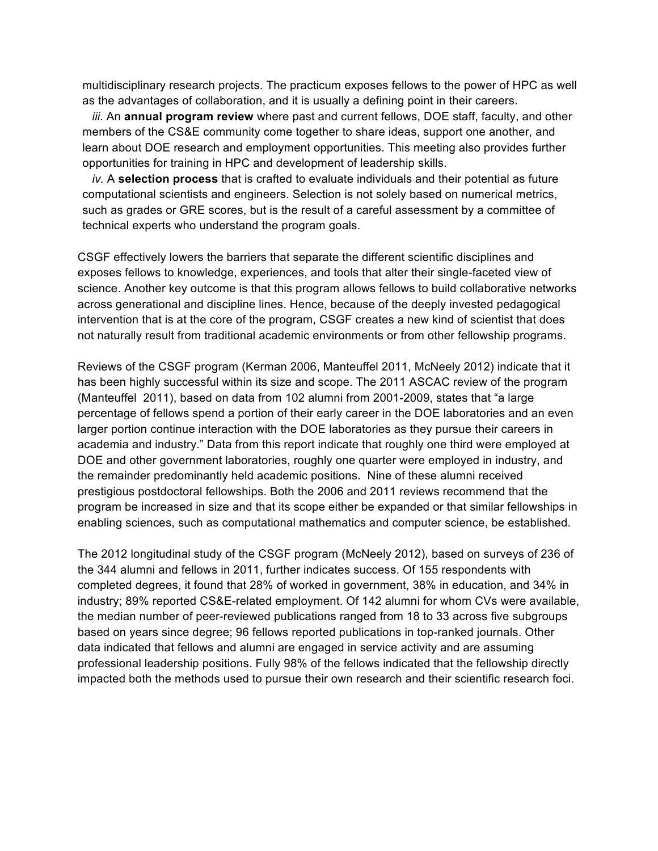multidisciplinary research projects. The practicum exposes fellows to the power of HPC as well as the advantages of collaboration, and it is usually a defining point in their careers.

 *iii.* An **annual program review** where past and current fellows, DOE staff, faculty, and other members of the CS&E community come together to share ideas, support one another, and learn about DOE research and employment opportunities. This meeting also provides further opportunities for training in HPC and development of leadership skills.

 computational scientists and engineers. Selection is not solely based on numerical metrics, such as grades or GRE scores, but is the result of a careful assessment by a committee of *iv.* A **selection process** that is crafted to evaluate individuals and their potential as future technical experts who understand the program goals.

 CSGF effectively lowers the barriers that separate the different scientific disciplines and exposes fellows to knowledge, experiences, and tools that alter their single-faceted view of science. Another key outcome is that this program allows fellows to build collaborative networks across generational and discipline lines. Hence, because of the deeply invested pedagogical intervention that is at the core of the program, CSGF creates a new kind of scientist that does not naturally result from traditional academic environments or from other fellowship programs.

 Reviews of the CSGF program (Kerman 2006, Manteuffel 2011, McNeely 2012) indicate that it has been highly successful within its size and scope. The 2011 ASCAC review of the program (Manteuffel 2011), based on data from 102 alumni from 2001-2009, states that "a large percentage of fellows spend a portion of their early career in the DOE laboratories and an even larger portion continue interaction with the DOE laboratories as they pursue their careers in academia and industry." Data from this report indicate that roughly one third were employed at DOE and other government laboratories, roughly one quarter were employed in industry, and prestigious postdoctoral fellowships. Both the 2006 and 2011 reviews recommend that the program be increased in size and that its scope either be expanded or that similar fellowships in enabling sciences, such as computational mathematics and computer science, be established. the remainder predominantly held academic positions. Nine of these alumni received

 The 2012 longitudinal study of the CSGF program (McNeely 2012), based on surveys of 236 of the 344 alumni and fellows in 2011, further indicates success. Of 155 respondents with completed degrees, it found that 28% of worked in government, 38% in education, and 34% in industry; 89% reported CS&E-related employment. Of 142 alumni for whom CVs were available, the median number of peer-reviewed publications ranged from 18 to 33 across five subgroups based on years since degree; 96 fellows reported publications in top-ranked journals. Other data indicated that fellows and alumni are engaged in service activity and are assuming professional leadership positions. Fully 98% of the fellows indicated that the fellowship directly impacted both the methods used to pursue their own research and their scientific research foci.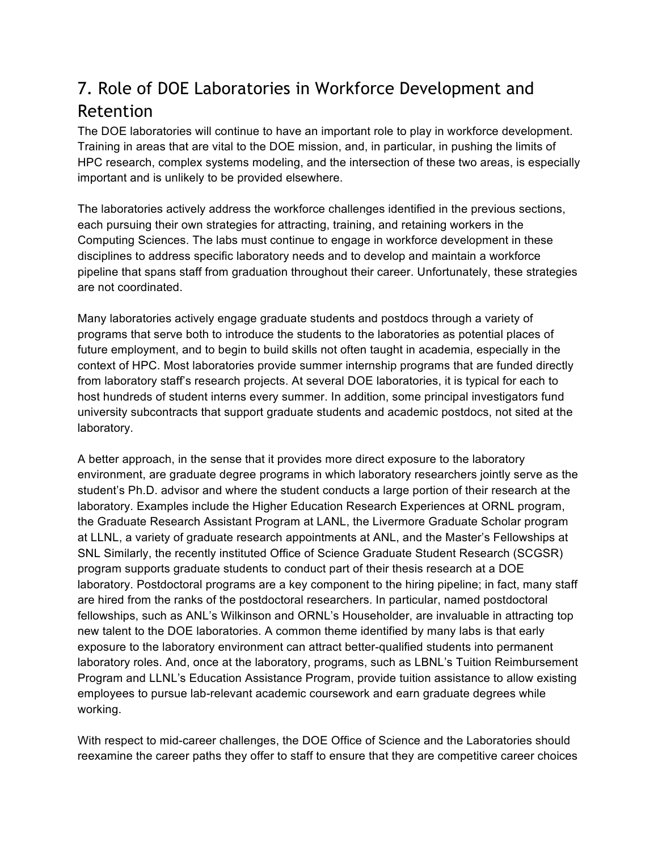# 7. Role of DOE Laboratories in Workforce Development and Retention

 The DOE laboratories will continue to have an important role to play in workforce development. Training in areas that are vital to the DOE mission, and, in particular, in pushing the limits of HPC research, complex systems modeling, and the intersection of these two areas, is especially important and is unlikely to be provided elsewhere.

 The laboratories actively address the workforce challenges identified in the previous sections, each pursuing their own strategies for attracting, training, and retaining workers in the Computing Sciences. The labs must continue to engage in workforce development in these disciplines to address specific laboratory needs and to develop and maintain a workforce pipeline that spans staff from graduation throughout their career. Unfortunately, these strategies are not coordinated.

 Many laboratories actively engage graduate students and postdocs through a variety of programs that serve both to introduce the students to the laboratories as potential places of context of HPC. Most laboratories provide summer internship programs that are funded directly host hundreds of student interns every summer. In addition, some principal investigators fund university subcontracts that support graduate students and academic postdocs, not sited at the future employment, and to begin to build skills not often taught in academia, especially in the from laboratory staff's research projects. At several DOE laboratories, it is typical for each to laboratory.

 A better approach, in the sense that it provides more direct exposure to the laboratory environment, are graduate degree programs in which laboratory researchers jointly serve as the student's Ph.D. advisor and where the student conducts a large portion of their research at the laboratory. Examples include the Higher Education Research Experiences at ORNL program, at LLNL, a variety of graduate research appointments at ANL, and the Master's Fellowships at SNL Similarly, the recently instituted Office of Science Graduate Student Research (SCGSR) program supports graduate students to conduct part of their thesis research at a DOE laboratory. Postdoctoral programs are a key component to the hiring pipeline; in fact, many staff are hired from the ranks of the postdoctoral researchers. In particular, named postdoctoral new talent to the DOE laboratories. A common theme identified by many labs is that early exposure to the laboratory environment can attract better-qualified students into permanent laboratory roles. And, once at the laboratory, programs, such as LBNL's Tuition Reimbursement Program and LLNL's Education Assistance Program, provide tuition assistance to allow existing employees to pursue lab-relevant academic coursework and earn graduate degrees while the Graduate Research Assistant Program at LANL, the Livermore Graduate Scholar program fellowships, such as ANL's Wilkinson and ORNL's Householder, are invaluable in attracting top working.

 With respect to mid-career challenges, the DOE Office of Science and the Laboratories should reexamine the career paths they offer to staff to ensure that they are competitive career choices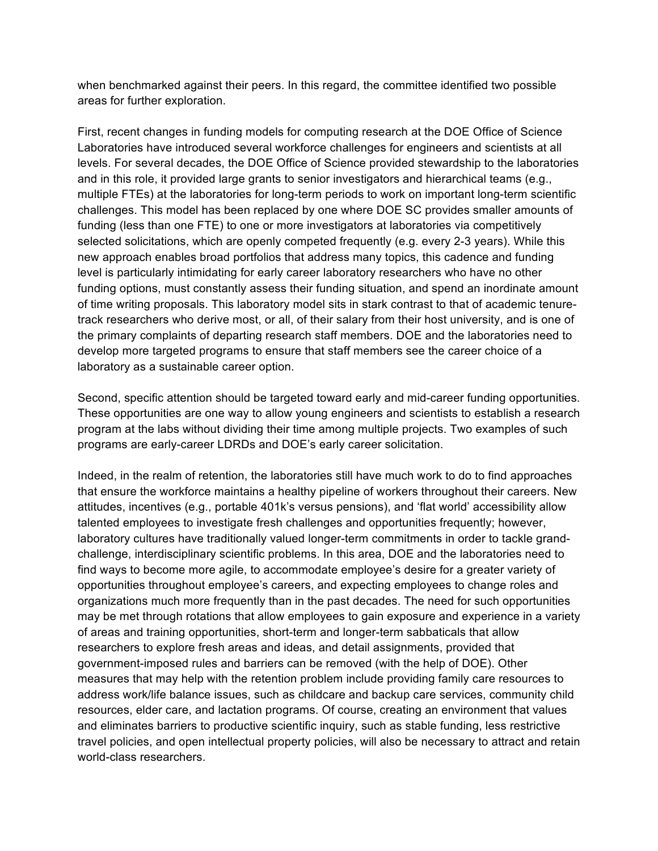when benchmarked against their peers. In this regard, the committee identified two possible areas for further exploration.

 First, recent changes in funding models for computing research at the DOE Office of Science Laboratories have introduced several workforce challenges for engineers and scientists at all levels. For several decades, the DOE Office of Science provided stewardship to the laboratories multiple FTEs) at the laboratories for long-term periods to work on important long-term scientific challenges. This model has been replaced by one where DOE SC provides smaller amounts of selected solicitations, which are openly competed frequently (e.g. every 2-3 years). While this new approach enables broad portfolios that address many topics, this cadence and funding level is particularly intimidating for early career laboratory researchers who have no other of time writing proposals. This laboratory model sits in stark contrast to that of academic tenure- the primary complaints of departing research staff members. DOE and the laboratories need to develop more targeted programs to ensure that staff members see the career choice of a laboratory as a sustainable career option. and in this role, it provided large grants to senior investigators and hierarchical teams (e.g., funding (less than one FTE) to one or more investigators at laboratories via competitively funding options, must constantly assess their funding situation, and spend an inordinate amount track researchers who derive most, or all, of their salary from their host university, and is one of

 Second, specific attention should be targeted toward early and mid-career funding opportunities. These opportunities are one way to allow young engineers and scientists to establish a research program at the labs without dividing their time among multiple projects. Two examples of such programs are early-career LDRDs and DOE's early career solicitation.

 Indeed, in the realm of retention, the laboratories still have much work to do to find approaches attitudes, incentives (e.g., portable 401k's versus pensions), and 'flat world' accessibility allow laboratory cultures have traditionally valued longer-term commitments in order to tackle grand- challenge, interdisciplinary scientific problems. In this area, DOE and the laboratories need to opportunities throughout employee's careers, and expecting employees to change roles and organizations much more frequently than in the past decades. The need for such opportunities may be met through rotations that allow employees to gain exposure and experience in a variety of areas and training opportunities, short-term and longer-term sabbaticals that allow researchers to explore fresh areas and ideas, and detail assignments, provided that government-imposed rules and barriers can be removed (with the help of DOE). Other measures that may help with the retention problem include providing family care resources to address work/life balance issues, such as childcare and backup care services, community child resources, elder care, and lactation programs. Of course, creating an environment that values and eliminates barriers to productive scientific inquiry, such as stable funding, less restrictive that ensure the workforce maintains a healthy pipeline of workers throughout their careers. New talented employees to investigate fresh challenges and opportunities frequently; however, find ways to become more agile, to accommodate employee's desire for a greater variety of travel policies, and open intellectual property policies, will also be necessary to attract and retain world-class researchers.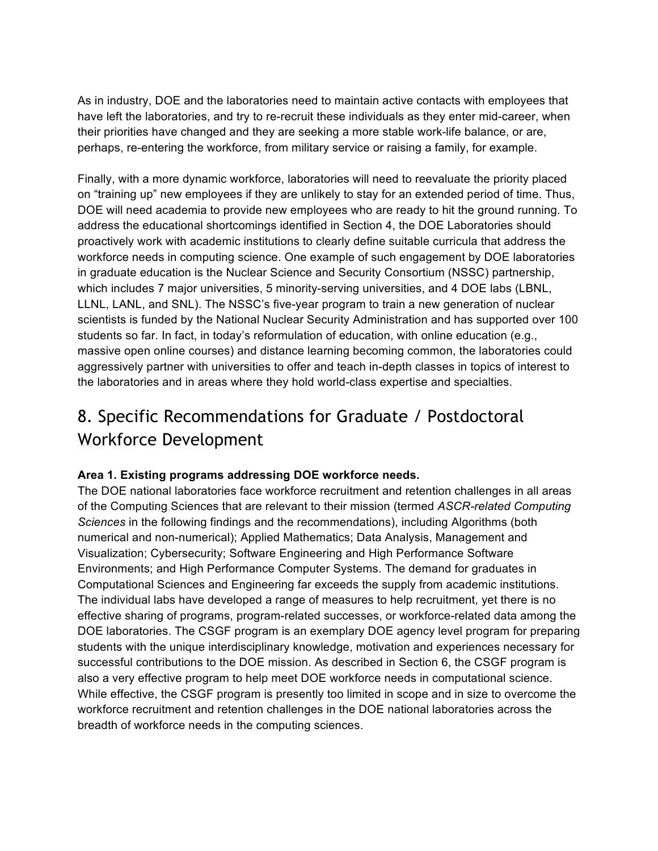As in industry, DOE and the laboratories need to maintain active contacts with employees that have left the laboratories, and try to re-recruit these individuals as they enter mid-career, when their priorities have changed and they are seeking a more stable work-life balance, or are, perhaps, re-entering the workforce, from military service or raising a family, for example.

 Finally, with a more dynamic workforce, laboratories will need to reevaluate the priority placed on "training up" new employees if they are unlikely to stay for an extended period of time. Thus, DOE will need academia to provide new employees who are ready to hit the ground running. To address the educational shortcomings identified in Section 4, the DOE Laboratories should proactively work with academic institutions to clearly define suitable curricula that address the workforce needs in computing science. One example of such engagement by DOE laboratories in graduate education is the Nuclear Science and Security Consortium (NSSC) partnership, which includes 7 major universities, 5 minority-serving universities, and 4 DOE labs (LBNL, LLNL, LANL, and SNL). The NSSC's five-year program to train a new generation of nuclear scientists is funded by the National Nuclear Security Administration and has supported over 100 students so far. In fact, in today's reformulation of education, with online education (e.g., massive open online courses) and distance learning becoming common, the laboratories could aggressively partner with universities to offer and teach in-depth classes in topics of interest to the laboratories and in areas where they hold world-class expertise and specialties.

# 8. Specific Recommendations for Graduate / Postdoctoral Workforce Development

#### **Area 1. Existing programs addressing DOE workforce needs.**

 The DOE national laboratories face workforce recruitment and retention challenges in all areas of the Computing Sciences that are relevant to their mission (termed *ASCR-related Computing Sciences* in the following findings and the recommendations), including Algorithms (both Visualization; Cybersecurity; Software Engineering and High Performance Software Environments; and High Performance Computer Systems. The demand for graduates in Computational Sciences and Engineering far exceeds the supply from academic institutions. The individual labs have developed a range of measures to help recruitment, yet there is no effective sharing of programs, program-related successes, or workforce-related data among the DOE laboratories. The CSGF program is an exemplary DOE agency level program for preparing students with the unique interdisciplinary knowledge, motivation and experiences necessary for successful contributions to the DOE mission. As described in Section 6, the CSGF program is also a very effective program to help meet DOE workforce needs in computational science. While effective, the CSGF program is presently too limited in scope and in size to overcome the workforce recruitment and retention challenges in the DOE national laboratories across the numerical and non-numerical); Applied Mathematics; Data Analysis, Management and breadth of workforce needs in the computing sciences.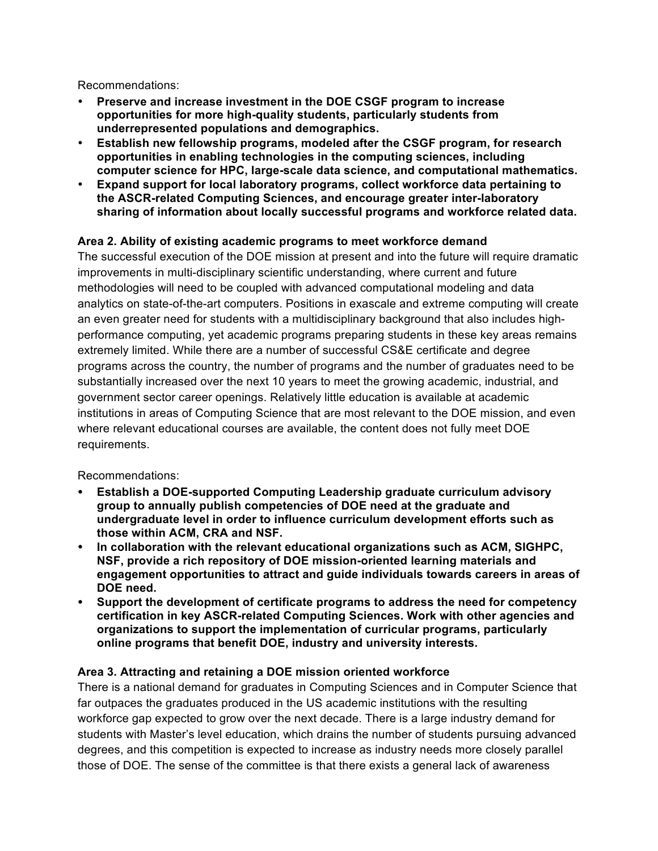Recommendations:

- **Preserve and increase investment in the DOE CSGF program to increase opportunities for more high-quality students, particularly students from underrepresented populations and demographics.**
- **Establish new fellowship programs, modeled after the CSGF program, for research computer science for HPC, large-scale data science, and computational mathematics. opportunities in enabling technologies in the computing sciences, including**
- **Expand support for local laboratory programs, collect workforce data pertaining to the ASCR-related Computing Sciences, and encourage greater inter-laboratory sharing of information about locally successful programs and workforce related data.**

#### **Area 2. Ability of existing academic programs to meet workforce demand**

 The successful execution of the DOE mission at present and into the future will require dramatic improvements in multi-disciplinary scientific understanding, where current and future methodologies will need to be coupled with advanced computational modeling and data analytics on state-of-the-art computers. Positions in exascale and extreme computing will create an even greater need for students with a multidisciplinary background that also includes high- extremely limited. While there are a number of successful CS&E certificate and degree programs across the country, the number of programs and the number of graduates need to be substantially increased over the next 10 years to meet the growing academic, industrial, and government sector career openings. Relatively little education is available at academic institutions in areas of Computing Science that are most relevant to the DOE mission, and even where relevant educational courses are available, the content does not fully meet DOE performance computing, yet academic programs preparing students in these key areas remains requirements.

Recommendations:

- **Establish a DOE-supported Computing Leadership graduate curriculum advisory group to annually publish competencies of DOE need at the graduate and undergraduate level in order to influence curriculum development efforts such as those within ACM, CRA and NSF.**
- **NSF, provide a rich repository of DOE mission-oriented learning materials and engagement opportunities to attract and guide individuals towards careers in areas of**  • **In collaboration with the relevant educational organizations such as ACM, SIGHPC, DOE need.**
- **Support the development of certificate programs to address the need for competency certification in key ASCR-related Computing Sciences. Work with other agencies and organizations to support the implementation of curricular programs, particularly online programs that benefit DOE, industry and university interests.**

#### **Area 3. Attracting and retaining a DOE mission oriented workforce**

 There is a national demand for graduates in Computing Sciences and in Computer Science that far outpaces the graduates produced in the US academic institutions with the resulting workforce gap expected to grow over the next decade. There is a large industry demand for students with Master's level education, which drains the number of students pursuing advanced degrees, and this competition is expected to increase as industry needs more closely parallel those of DOE. The sense of the committee is that there exists a general lack of awareness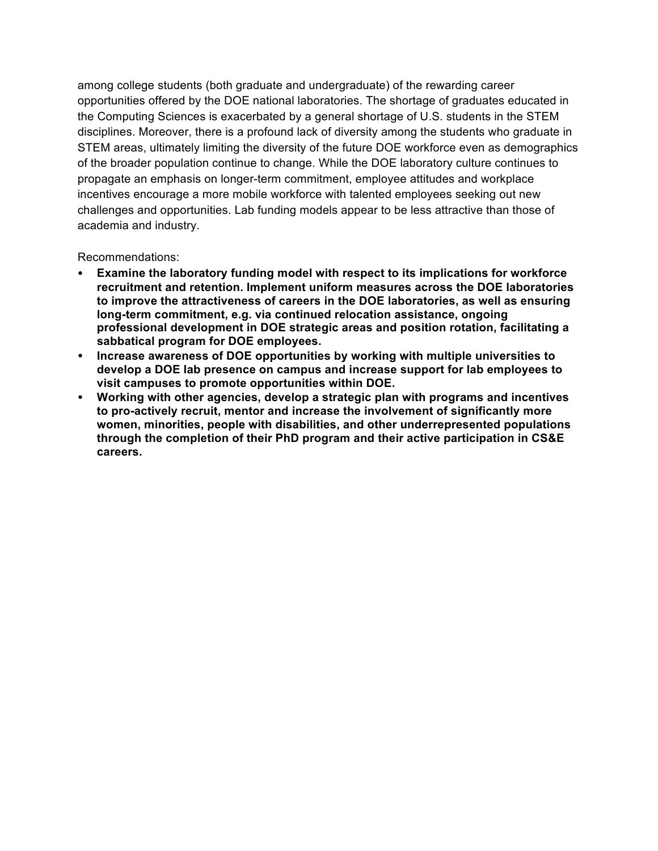among college students (both graduate and undergraduate) of the rewarding career opportunities offered by the DOE national laboratories. The shortage of graduates educated in disciplines. Moreover, there is a profound lack of diversity among the students who graduate in STEM areas, ultimately limiting the diversity of the future DOE workforce even as demographics of the broader population continue to change. While the DOE laboratory culture continues to incentives encourage a more mobile workforce with talented employees seeking out new challenges and opportunities. Lab funding models appear to be less attractive than those of the Computing Sciences is exacerbated by a general shortage of U.S. students in the STEM propagate an emphasis on longer-term commitment, employee attitudes and workplace academia and industry.

Recommendations:

- **recruitment and retention. Implement uniform measures across the DOE laboratories to improve the attractiveness of careers in the DOE laboratories, as well as ensuring long-term commitment, e.g. via continued relocation assistance, ongoing professional development in DOE strategic areas and position rotation, facilitating a sabbatical program for DOE employees.**  • **Examine the laboratory funding model with respect to its implications for workforce**
- **develop a DOE lab presence on campus and increase support for lab employees to visit campuses to promote opportunities within DOE.**  • **Increase awareness of DOE opportunities by working with multiple universities to**
- **Working with other agencies, develop a strategic plan with programs and incentives to pro-actively recruit, mentor and increase the involvement of significantly more women, minorities, people with disabilities, and other underrepresented populations through the completion of their PhD program and their active participation in CS&E careers.**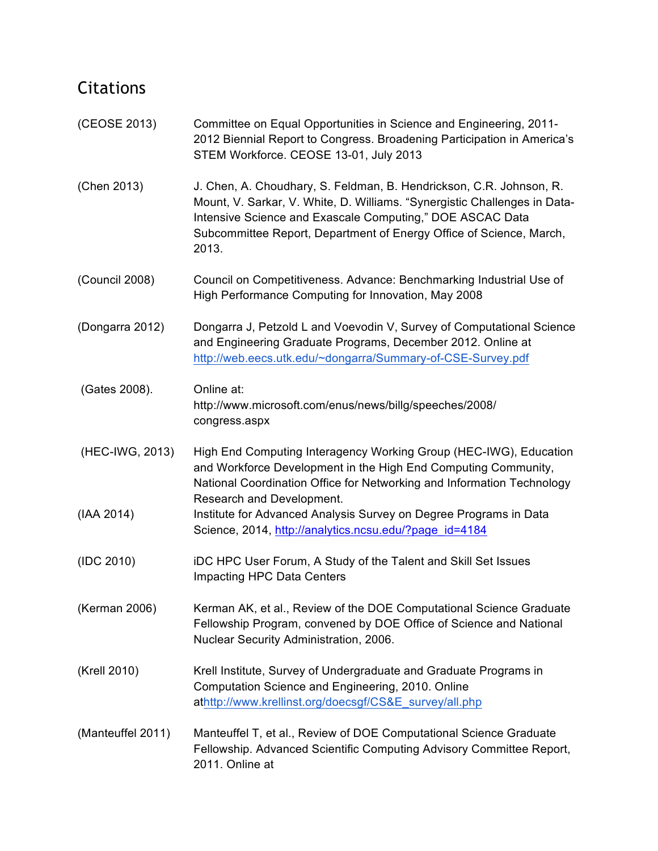# Citations

| (CEOSE 2013)      | Committee on Equal Opportunities in Science and Engineering, 2011-<br>2012 Biennial Report to Congress. Broadening Participation in America's<br>STEM Workforce. CEOSE 13-01, July 2013                                                                                                       |
|-------------------|-----------------------------------------------------------------------------------------------------------------------------------------------------------------------------------------------------------------------------------------------------------------------------------------------|
| (Chen 2013)       | J. Chen, A. Choudhary, S. Feldman, B. Hendrickson, C.R. Johnson, R.<br>Mount, V. Sarkar, V. White, D. Williams. "Synergistic Challenges in Data-<br>Intensive Science and Exascale Computing," DOE ASCAC Data<br>Subcommittee Report, Department of Energy Office of Science, March,<br>2013. |
| (Council 2008)    | Council on Competitiveness. Advance: Benchmarking Industrial Use of<br>High Performance Computing for Innovation, May 2008                                                                                                                                                                    |
| (Dongarra 2012)   | Dongarra J, Petzold L and Voevodin V, Survey of Computational Science<br>and Engineering Graduate Programs, December 2012. Online at<br>http://web.eecs.utk.edu/~dongarra/Summary-of-CSE-Survey.pdf                                                                                           |
| (Gates 2008).     | Online at:<br>http://www.microsoft.com/enus/news/billg/speeches/2008/<br>congress.aspx                                                                                                                                                                                                        |
| (HEC-IWG, 2013)   | High End Computing Interagency Working Group (HEC-IWG), Education<br>and Workforce Development in the High End Computing Community,<br>National Coordination Office for Networking and Information Technology<br>Research and Development.                                                    |
| (IAA 2014)        | Institute for Advanced Analysis Survey on Degree Programs in Data<br>Science, 2014, http://analytics.ncsu.edu/?page_id=4184                                                                                                                                                                   |
| (IDC 2010)        | iDC HPC User Forum, A Study of the Talent and Skill Set Issues<br>Impacting HPC Data Centers                                                                                                                                                                                                  |
| (Kerman 2006)     | Kerman AK, et al., Review of the DOE Computational Science Graduate<br>Fellowship Program, convened by DOE Office of Science and National<br>Nuclear Security Administration, 2006.                                                                                                           |
| (Krell 2010)      | Krell Institute, Survey of Undergraduate and Graduate Programs in<br>Computation Science and Engineering, 2010. Online<br>athttp://www.krellinst.org/doecsgf/CS&E_survey/all.php                                                                                                              |
| (Manteuffel 2011) | Manteuffel T, et al., Review of DOE Computational Science Graduate<br>Fellowship. Advanced Scientific Computing Advisory Committee Report,<br>2011. Online at                                                                                                                                 |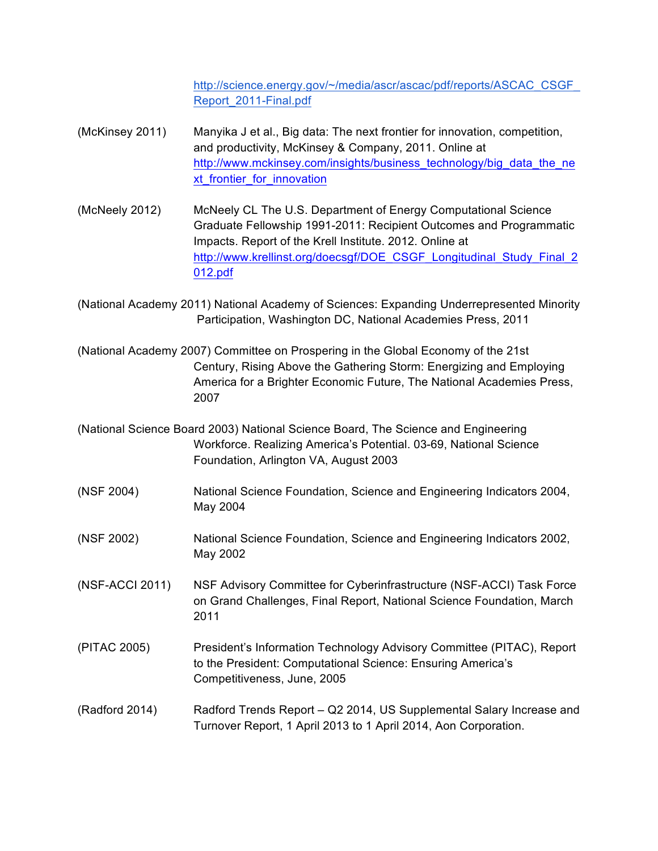http://science.energy.gov/~/media/ascr/ascac/pdf/reports/ASCAC\_CSGF Report\_2011-Final.pdf

- (McKinsey 2011) and productivity, McKinsey & Company, 2011. Online at xt frontier for innovation Manyika J et al., Big data: The next frontier for innovation, competition, http://www.mckinsey.com/insights/business\_technology/big\_data\_the\_ne
- (McNeely 2012) Graduate Fellowship 1991-2011: Recipient Outcomes and Programmatic McNeely CL The U.S. Department of Energy Computational Science Impacts. Report of the Krell Institute. 2012. Online at http://www.krellinst.org/doecsgf/DOE\_CSGF\_Longitudinal\_Study\_Final\_2 012.pdf
- (National Academy 2011) National Academy of Sciences: Expanding Underrepresented Minority Participation, Washington DC, National Academies Press, 2011
- (National Academy 2007) Committee on Prospering in the Global Economy of the 21st America for a Brighter Economic Future, The National Academies Press, Century, Rising Above the Gathering Storm: Energizing and Employing 2007
- (National Science Board 2003) National Science Board, The Science and Engineering Workforce. Realizing America's Potential. 03-69, National Science Foundation, Arlington VA, August 2003
- (NSF 2004) National Science Foundation, Science and Engineering Indicators 2004, May 2004
- (NSF 2002) (National Science Foundation, Science and Engineering Indicators 2002, May 2002
- (NSF-ACCI 2011) on Grand Challenges, Final Report, National Science Foundation, March NSF Advisory Committee for Cyberinfrastructure (NSF-ACCI) Task Force 2011
- (PITAC 2005) Competitiveness, June, 2005 President's Information Technology Advisory Committee (PITAC), Report to the President: Computational Science: Ensuring America's
- (Radford 2014) Radford Trends Report Q2 2014, US Supplemental Salary Increase and Turnover Report, 1 April 2013 to 1 April 2014, Aon Corporation.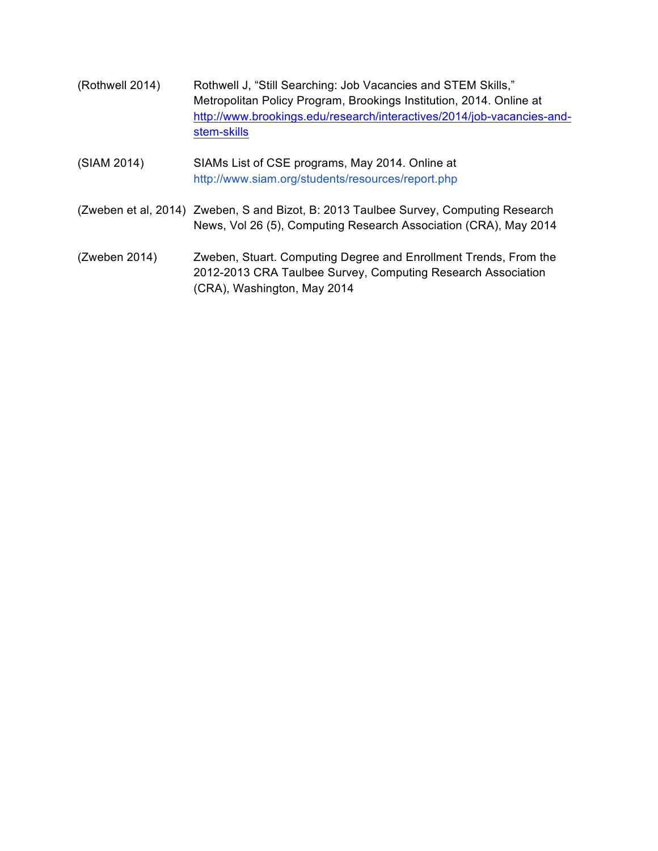- (Rothwell 2014) Rothwell J, "Still Searching: Job Vacancies and STEM Skills," Metropolitan Policy Program, Brookings Institution, 2014. Online at http://www.brookings.edu/research/interactives/2014/job-vacancies-andstem-skills
- (SIAM 2014) SIAMs List of CSE programs, May 2014. Online at http://www.siam.org/students/resources/report.php
- (Zweben et al, 2014) Zweben, S and Bizot, B: 2013 Taulbee Survey, Computing Research News, Vol 26 (5), Computing Research Association (CRA), May 2014
- (Zweben 2014) (CRA), Washington, May 2014 Zweben, Stuart. Computing Degree and Enrollment Trends, From the 2012-2013 CRA Taulbee Survey, Computing Research Association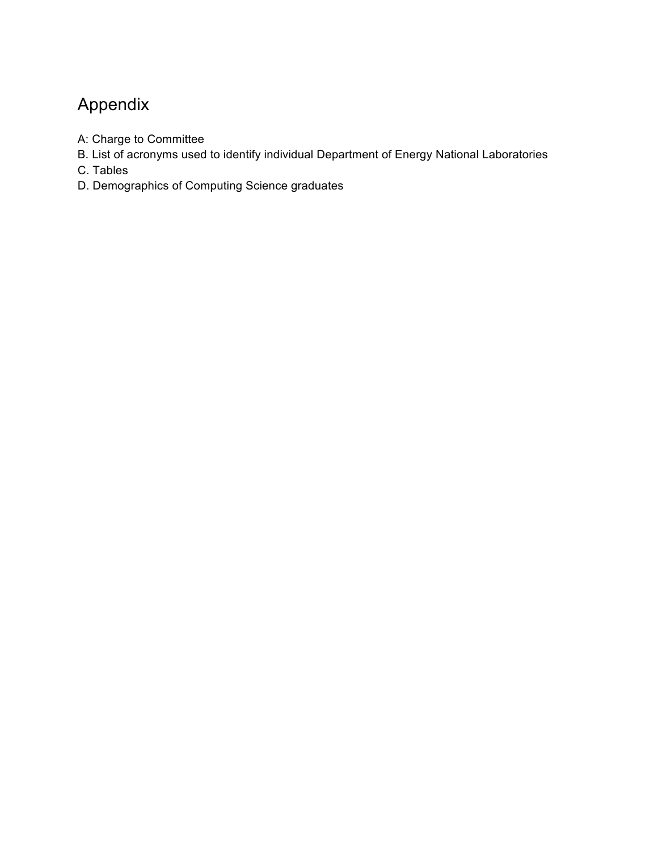# Appendix

- A: Charge to Committee
- B. List of acronyms used to identify individual Department of Energy National Laboratories
- C. Tables
- D. Demographics of Computing Science graduates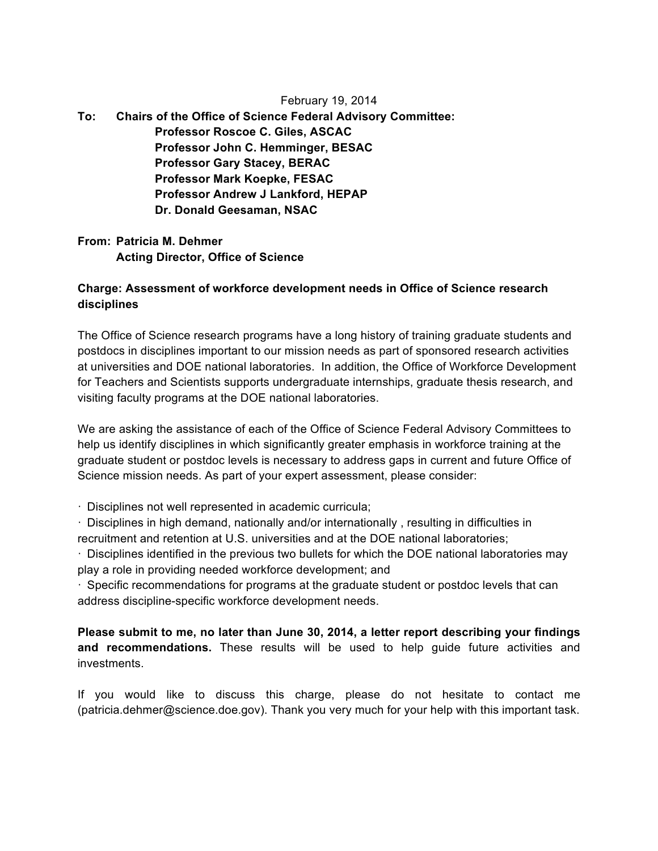#### February 19, 2014

 $To:$ **Chairs of the Office of Science Federal Advisory Committee: Professor Roscoe C. Giles, ASCAC Professor John C. Hemminger, BESAC Professor Gary Stacey, BERAC Professor Mark Koepke, FESAC Professor Andrew J Lankford, HEPAP Dr. Donald Geesaman, NSAC** 

 **From: Patricia M. Dehmer Acting Director, Office of Science** 

#### **Charge: Assessment of workforce development needs in Office of Science research disciplines**

 The Office of Science research programs have a long history of training graduate students and postdocs in disciplines important to our mission needs as part of sponsored research activities at universities and DOE national laboratories. In addition, the Office of Workforce Development visiting faculty programs at the DOE national laboratories. for Teachers and Scientists supports undergraduate internships, graduate thesis research, and

 We are asking the assistance of each of the Office of Science Federal Advisory Committees to help us identify disciplines in which significantly greater emphasis in workforce training at the graduate student or postdoc levels is necessary to address gaps in current and future Office of Science mission needs. As part of your expert assessment, please consider:

· Disciplines not well represented in academic curricula;

 · Disciplines in high demand, nationally and/or internationally , resulting in difficulties in recruitment and retention at U.S. universities and at the DOE national laboratories;

 · Disciplines identified in the previous two bullets for which the DOE national laboratories may play a role in providing needed workforce development; and

 · Specific recommendations for programs at the graduate student or postdoc levels that can address discipline-specific workforce development needs.

 **Please submit to me, no later than June 30, 2014, a letter report describing your findings and recommendations.** These results will be used to help guide future activities and investments.

 If you would like to discuss this charge, please do not hesitate to contact me ([patricia.dehmer@science.doe.gov](mailto:patricia.dehmer@science.doe.gov)). Thank you very much for your help with this important task.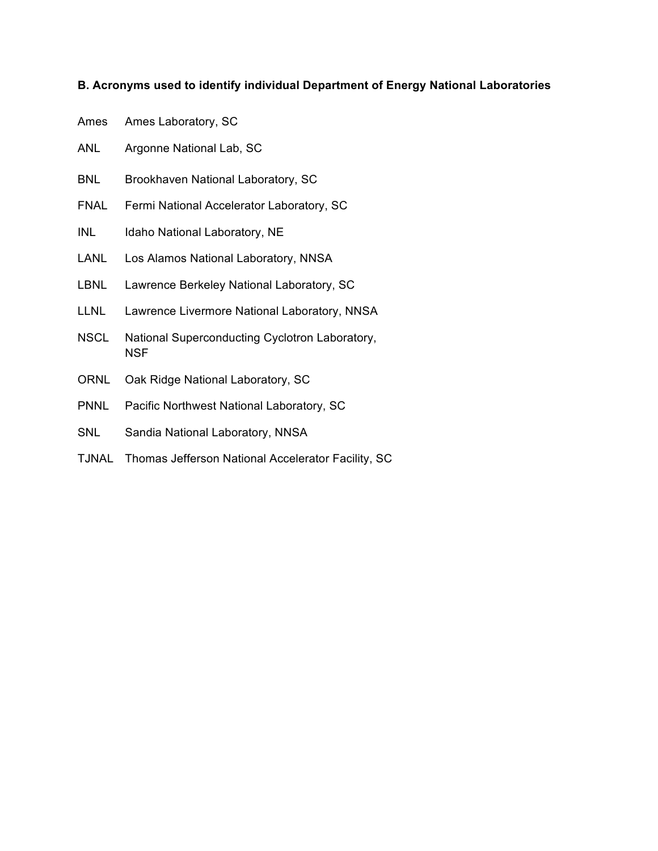#### **B. Acronyms used to identify individual Department of Energy National Laboratories**

- Ames Ames Laboratory, SC
- ANL Argonne National Lab, SC
- BNL Brookhaven National Laboratory, SC
- FNAL Fermi National Accelerator Laboratory, SC
- INL Idaho National Laboratory, NE
- LANL Los Alamos National Laboratory, NNSA
- LBNL Lawrence Berkeley National Laboratory, SC
- LLNL Lawrence Livermore National Laboratory, NNSA
- NSCL National Superconducting Cyclotron Laboratory, **NSF**
- ORNL Oak Ridge National Laboratory, SC
- PNNL Pacific Northwest National Laboratory, SC
- SNL Sandia National Laboratory, NNSA
- TJNAL Thomas Jefferson National Accelerator Facility, SC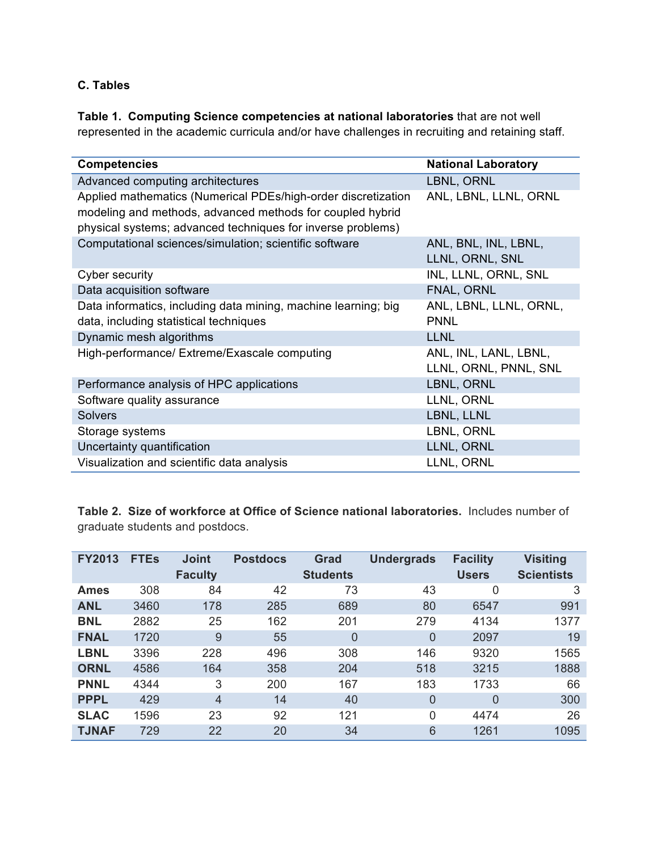#### **C. Tables**

 **Table 1. Computing Science competencies at national laboratories** that are not well represented in the academic curricula and/or have challenges in recruiting and retaining staff.

| <b>Competencies</b>                                            | <b>National Laboratory</b> |
|----------------------------------------------------------------|----------------------------|
| Advanced computing architectures                               | LBNL, ORNL                 |
| Applied mathematics (Numerical PDEs/high-order discretization  | ANL, LBNL, LLNL, ORNL      |
| modeling and methods, advanced methods for coupled hybrid      |                            |
| physical systems; advanced techniques for inverse problems)    |                            |
| Computational sciences/simulation; scientific software         | ANL, BNL, INL, LBNL,       |
|                                                                | LLNL, ORNL, SNL            |
| Cyber security                                                 | INL, LLNL, ORNL, SNL       |
| Data acquisition software                                      | FNAL, ORNL                 |
| Data informatics, including data mining, machine learning; big | ANL, LBNL, LLNL, ORNL,     |
| data, including statistical techniques                         | <b>PNNL</b>                |
| Dynamic mesh algorithms                                        | <b>LLNL</b>                |
| High-performance/ Extreme/Exascale computing                   | ANL, INL, LANL, LBNL,      |
|                                                                | LLNL, ORNL, PNNL, SNL      |
| Performance analysis of HPC applications                       | LBNL, ORNL                 |
| Software quality assurance                                     | LLNL, ORNL                 |
| <b>Solvers</b>                                                 | LBNL, LLNL                 |
| Storage systems                                                | LBNL, ORNL                 |
| Uncertainty quantification                                     | LLNL, ORNL                 |
| Visualization and scientific data analysis                     | LLNL, ORNL                 |

 **Table 2. Size of workforce at Office of Science national laboratories.** Includes number of graduate students and postdocs.

| <b>FY2013</b> | <b>FTEs</b> | <b>Joint</b><br><b>Faculty</b> | <b>Postdocs</b> | Grad<br><b>Students</b> | <b>Undergrads</b> | <b>Facility</b><br><b>Users</b> | <b>Visiting</b><br><b>Scientists</b> |
|---------------|-------------|--------------------------------|-----------------|-------------------------|-------------------|---------------------------------|--------------------------------------|
| <b>Ames</b>   | 308         | 84                             | 42              | 73                      | 43                | 0                               | 3                                    |
| <b>ANL</b>    | 3460        | 178                            | 285             | 689                     | 80                | 6547                            | 991                                  |
| <b>BNL</b>    | 2882        | 25                             | 162             | 201                     | 279               | 4134                            | 1377                                 |
| <b>FNAL</b>   | 1720        | 9                              | 55              | $\Omega$                | $\overline{0}$    | 2097                            | 19                                   |
| <b>LBNL</b>   | 3396        | 228                            | 496             | 308                     | 146               | 9320                            | 1565                                 |
| <b>ORNL</b>   | 4586        | 164                            | 358             | 204                     | 518               | 3215                            | 1888                                 |
| <b>PNNL</b>   | 4344        | 3                              | 200             | 167                     | 183               | 1733                            | 66                                   |
| <b>PPPL</b>   | 429         | $\overline{4}$                 | 14              | 40                      | $\overline{0}$    | 0                               | 300                                  |
| <b>SLAC</b>   | 1596        | 23                             | 92              | 121                     | 0                 | 4474                            | 26                                   |
| <b>TJNAF</b>  | 729         | 22                             | 20              | 34                      | 6                 | 1261                            | 1095                                 |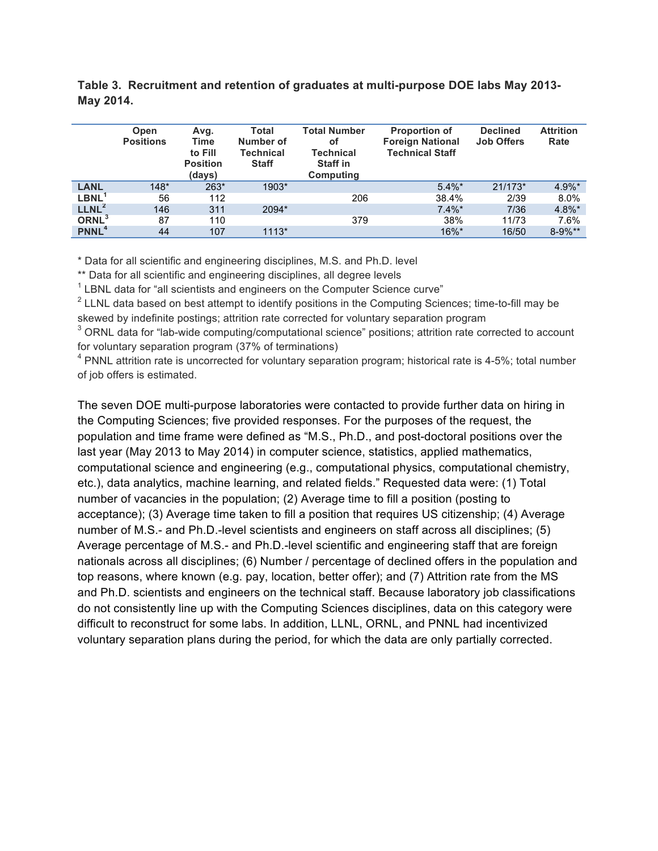|                         | Open<br><b>Positions</b> | Avg.<br>Time<br>to Fill<br><b>Position</b><br>(days) | Total<br>Number of<br><b>Technical</b><br><b>Staff</b> | <b>Total Number</b><br>οf<br><b>Technical</b><br><b>Staff in</b><br>Computing | <b>Proportion of</b><br><b>Foreign National</b><br><b>Technical Staff</b> | <b>Declined</b><br><b>Job Offers</b> | <b>Attrition</b><br>Rate |
|-------------------------|--------------------------|------------------------------------------------------|--------------------------------------------------------|-------------------------------------------------------------------------------|---------------------------------------------------------------------------|--------------------------------------|--------------------------|
| <b>LANL</b>             | $148*$                   | 263*                                                 | 1903*                                                  |                                                                               | $5.4\%$ *                                                                 | $21/173*$                            | $4.9\%$ *                |
| LBNL <sup>1</sup>       | 56                       | 112                                                  |                                                        | 206                                                                           | 38.4%                                                                     | 2/39                                 | 8.0%                     |
| LLNL <sup>2</sup>       | 146                      | 311                                                  | 2094*                                                  |                                                                               | $7.4\%$ *                                                                 | 7/36                                 | $4.8\%$ *                |
| ORNL <sup>3</sup>       | 87                       | 110                                                  |                                                        | 379                                                                           | 38%                                                                       | 11/73                                | 7.6%                     |
| <b>PNNL<sup>4</sup></b> | 44                       | 107                                                  | $1113*$                                                |                                                                               | 16%*                                                                      | 16/50                                | $8 - 9\%$ **             |

 **Table 3. Recruitment and retention of graduates at multi-purpose DOE labs May 2013- May 2014.** 

\* Data for all scientific and engineering disciplines, M.S. and Ph.D. level

\*\* Data for all scientific and engineering disciplines, all degree levels

 $1$  LBNL data for "all scientists and engineers on the Computer Science curve"

 $2$  LLNL data based on best attempt to identify positions in the Computing Sciences; time-to-fill may be skewed by indefinite postings; attrition rate corrected for voluntary separation program

 $3$  ORNL data for "lab-wide computing/computational science" positions; attrition rate corrected to account for voluntary separation program (37% of terminations)

<sup>4</sup> PNNL attrition rate is uncorrected for voluntary separation program; historical rate is 4-5%; total number of job offers is estimated.

 The seven DOE multi-purpose laboratories were contacted to provide further data on hiring in population and time frame were defined as "M.S., Ph.D., and post-doctoral positions over the last year (May 2013 to May 2014) in computer science, statistics, applied mathematics, computational science and engineering (e.g., computational physics, computational chemistry, etc.), data analytics, machine learning, and related fields." Requested data were: (1) Total number of vacancies in the population; (2) Average time to fill a position (posting to acceptance); (3) Average time taken to fill a position that requires US citizenship; (4) Average number of M.S.- and Ph.D.-level scientists and engineers on staff across all disciplines; (5) Average percentage of M.S.- and Ph.D.-level scientific and engineering staff that are foreign nationals across all disciplines; (6) Number / percentage of declined offers in the population and and Ph.D. scientists and engineers on the technical staff. Because laboratory job classifications do not consistently line up with the Computing Sciences disciplines, data on this category were difficult to reconstruct for some labs. In addition, LLNL, ORNL, and PNNL had incentivized voluntary separation plans during the period, for which the data are only partially corrected. the Computing Sciences; five provided responses. For the purposes of the request, the top reasons, where known (e.g. pay, location, better offer); and (7) Attrition rate from the MS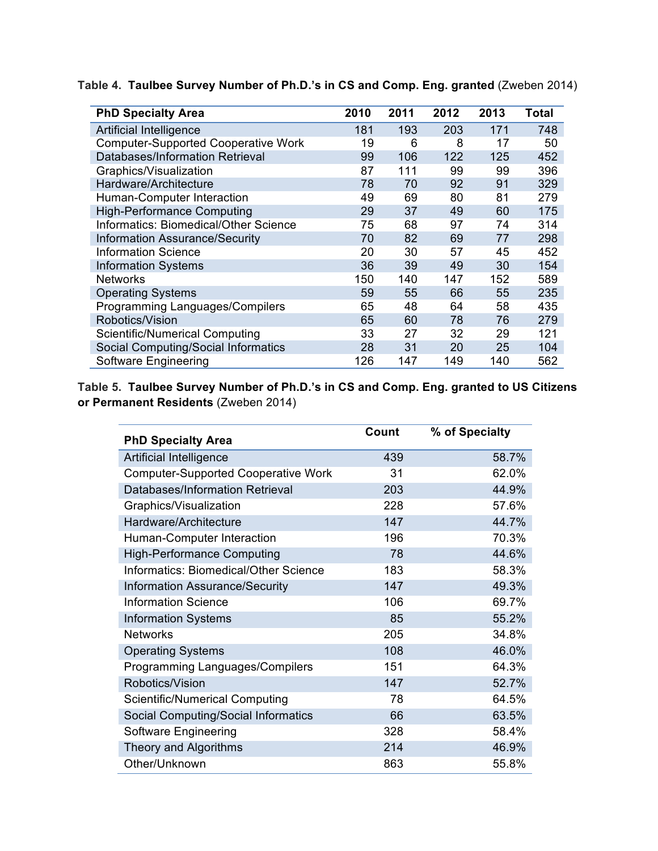| <b>PhD Specialty Area</b>                  | 2010 | 2011 | 2012 | 2013 | Total |
|--------------------------------------------|------|------|------|------|-------|
| Artificial Intelligence                    | 181  | 193  | 203  | 171  | 748   |
| <b>Computer-Supported Cooperative Work</b> | 19   | 6    | 8    | 17   | 50    |
| Databases/Information Retrieval            | 99   | 106  | 122  | 125  | 452   |
| Graphics/Visualization                     | 87   | 111  | 99   | 99   | 396   |
| Hardware/Architecture                      | 78   | 70   | 92   | 91   | 329   |
| Human-Computer Interaction                 | 49   | 69   | 80   | 81   | 279   |
| <b>High-Performance Computing</b>          | 29   | 37   | 49   | 60   | 175   |
| Informatics: Biomedical/Other Science      | 75   | 68   | 97   | 74   | 314   |
| <b>Information Assurance/Security</b>      | 70   | 82   | 69   | 77   | 298   |
| <b>Information Science</b>                 | 20   | 30   | 57   | 45   | 452   |
| <b>Information Systems</b>                 | 36   | 39   | 49   | 30   | 154   |
| <b>Networks</b>                            | 150  | 140  | 147  | 152  | 589   |
| <b>Operating Systems</b>                   | 59   | 55   | 66   | 55   | 235   |
| Programming Languages/Compilers            | 65   | 48   | 64   | 58   | 435   |
| Robotics/Vision                            | 65   | 60   | 78   | 76   | 279   |
| <b>Scientific/Numerical Computing</b>      | 33   | 27   | 32   | 29   | 121   |
| Social Computing/Social Informatics        | 28   | 31   | 20   | 25   | 104   |
| Software Engineering                       | 126  | 147  | 149  | 140  | 562   |

 **Table 4. Taulbee Survey Number of Ph.D.'s in CS and Comp. Eng. granted** (Zweben 2014)

 **Table 5. Taulbee Survey Number of Ph.D.'s in CS and Comp. Eng. granted to US Citizens or Permanent Residents** (Zweben 2014)

| <b>PhD Specialty Area</b>                  | Count | % of Specialty |
|--------------------------------------------|-------|----------------|
| Artificial Intelligence                    | 439   | 58.7%          |
| <b>Computer-Supported Cooperative Work</b> | 31    | 62.0%          |
| Databases/Information Retrieval            | 203   | 44.9%          |
| Graphics/Visualization                     | 228   | 57.6%          |
| Hardware/Architecture                      | 147   | 44.7%          |
| Human-Computer Interaction                 | 196   | 70.3%          |
| <b>High-Performance Computing</b>          | 78    | 44.6%          |
| Informatics: Biomedical/Other Science      | 183   | 58.3%          |
| Information Assurance/Security             | 147   | 49.3%          |
| <b>Information Science</b>                 | 106   | 69.7%          |
| <b>Information Systems</b>                 | 85    | 55.2%          |
| <b>Networks</b>                            | 205   | 34.8%          |
| <b>Operating Systems</b>                   | 108   | 46.0%          |
| Programming Languages/Compilers            | 151   | 64.3%          |
| Robotics/Vision                            | 147   | 52.7%          |
| <b>Scientific/Numerical Computing</b>      | 78    | 64.5%          |
| Social Computing/Social Informatics        | 66    | 63.5%          |
| Software Engineering                       | 328   | 58.4%          |
| Theory and Algorithms                      | 214   | 46.9%          |
| Other/Unknown                              | 863   | 55.8%          |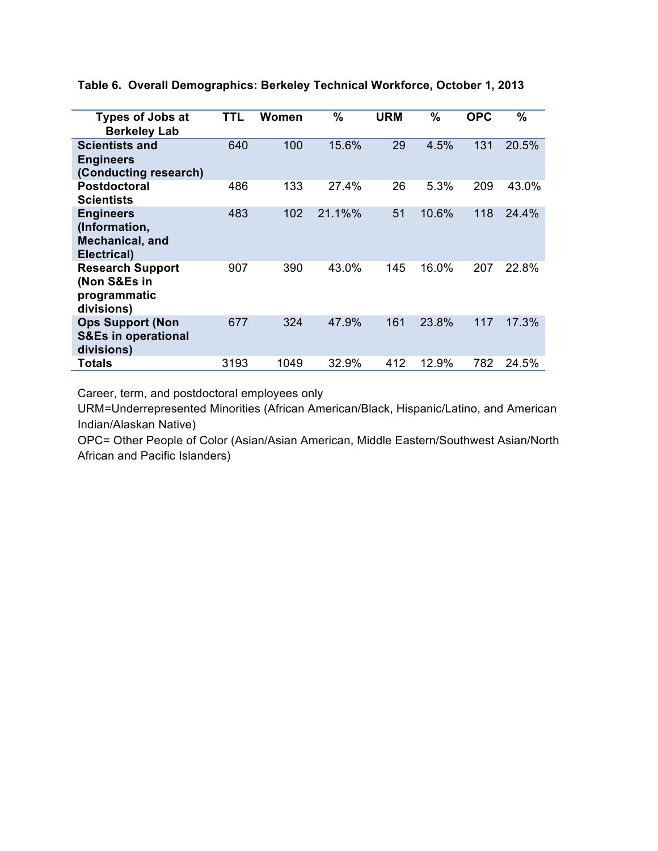| <b>Types of Jobs at</b><br><b>Berkeley Lab</b>                          | TTL  | Women | $\%$   | URM | %     | <b>OPC</b> | %     |
|-------------------------------------------------------------------------|------|-------|--------|-----|-------|------------|-------|
| <b>Scientists and</b><br><b>Engineers</b><br>(Conducting research)      | 640  | 100   | 15.6%  | 29  | 4.5%  | 131        | 20.5% |
| <b>Postdoctoral</b><br><b>Scientists</b>                                | 486  | 133   | 27.4%  | 26  | 5.3%  | 209        | 43.0% |
| <b>Engineers</b><br>(Information,<br>Mechanical, and<br>Electrical)     | 483  | 102   | 21.1%% | 51  | 10.6% | 118        | 24.4% |
| <b>Research Support</b><br>(Non S&Es in<br>programmatic<br>divisions)   | 907  | 390   | 43.0%  | 145 | 16.0% | 207        | 22.8% |
| <b>Ops Support (Non</b><br><b>S&amp;Es in operational</b><br>divisions) | 677  | 324   | 47.9%  | 161 | 23.8% | 117        | 17.3% |
| Totals                                                                  | 3193 | 1049  | 32.9%  | 412 | 12.9% | 782        | 24.5% |

 **Table 6. Overall Demographics: Berkeley Technical Workforce, October 1, 2013** 

Career, term, and postdoctoral employees only

 URM=Underrepresented Minorities (African American/Black, Hispanic/Latino, and American Indian/Alaskan Native)

 OPC= Other People of Color (Asian/Asian American, Middle Eastern/Southwest Asian/North African and Pacific Islanders)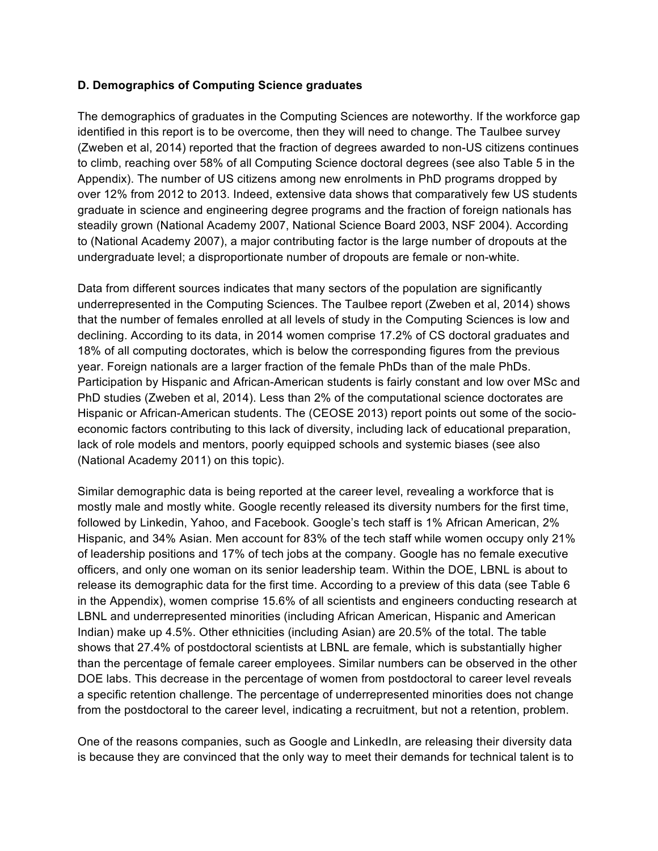#### **D. Demographics of Computing Science graduates**

 The demographics of graduates in the Computing Sciences are noteworthy. If the workforce gap identified in this report is to be overcome, then they will need to change. The Taulbee survey (Zweben et al, 2014) reported that the fraction of degrees awarded to non-US citizens continues to climb, reaching over 58% of all Computing Science doctoral degrees (see also Table 5 in the Appendix). The number of US citizens among new enrolments in PhD programs dropped by over 12% from 2012 to 2013. Indeed, extensive data shows that comparatively few US students graduate in science and engineering degree programs and the fraction of foreign nationals has steadily grown (National Academy 2007, National Science Board 2003, NSF 2004). According to (National Academy 2007), a major contributing factor is the large number of dropouts at the undergraduate level; a disproportionate number of dropouts are female or non-white.

 Data from different sources indicates that many sectors of the population are significantly underrepresented in the Computing Sciences. The Taulbee report (Zweben et al, 2014) shows declining. According to its data, in 2014 women comprise 17.2% of CS doctoral graduates and 18% of all computing doctorates, which is below the corresponding figures from the previous year. Foreign nationals are a larger fraction of the female PhDs than of the male PhDs. Participation by Hispanic and African-American students is fairly constant and low over MSc and PhD studies (Zweben et al, 2014). Less than 2% of the computational science doctorates are Hispanic or African-American students. The (CEOSE 2013) report points out some of the socio- economic factors contributing to this lack of diversity, including lack of educational preparation, lack of role models and mentors, poorly equipped schools and systemic biases (see also (National Academy 2011) on this topic). that the number of females enrolled at all levels of study in the Computing Sciences is low and

 Similar demographic data is being reported at the career level, revealing a workforce that is mostly male and mostly white. Google recently released its diversity numbers for the first time, Hispanic, and 34% Asian. Men account for 83% of the tech staff while women occupy only 21% of leadership positions and 17% of tech jobs at the company. Google has no female executive officers, and only one woman on its senior leadership team. Within the DOE, LBNL is about to release its demographic data for the first time. According to a preview of this data (see Table 6 in the Appendix), women comprise 15.6% of all scientists and engineers conducting research at LBNL and underrepresented minorities (including African American, Hispanic and American Indian) make up 4.5%. Other ethnicities (including Asian) are 20.5% of the total. The table shows that 27.4% of postdoctoral scientists at LBNL are female, which is substantially higher DOE labs. This decrease in the percentage of women from postdoctoral to career level reveals a specific retention challenge. The percentage of underrepresented minorities does not change followed by Linkedin, Yahoo, and Facebook. Google's tech staff is 1% African American, 2% than the percentage of female career employees. Similar numbers can be observed in the other from the postdoctoral to the career level, indicating a recruitment, but not a retention, problem.

 One of the reasons companies, such as Google and LinkedIn, are releasing their diversity data is because they are convinced that the only way to meet their demands for technical talent is to